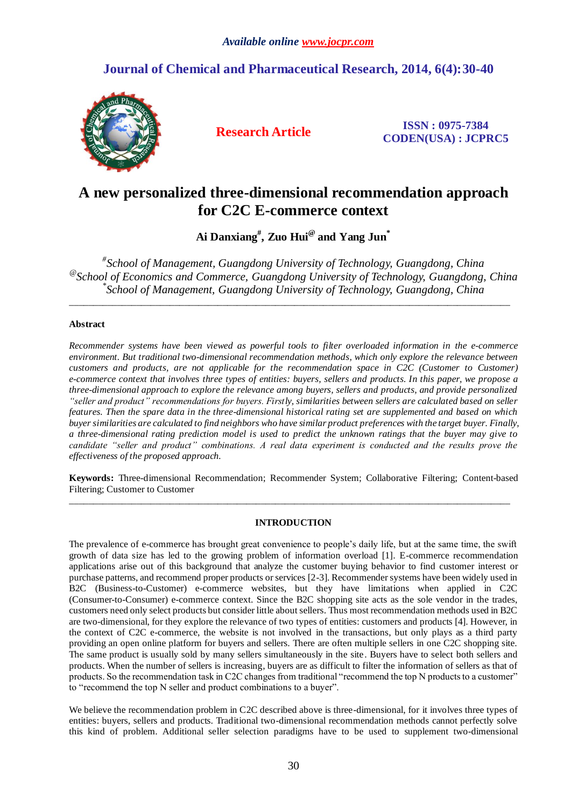# **Journal of Chemical and Pharmaceutical Research, 2014, 6(4):30-40**



**Research Article ISSN : 0975-7384 CODEN(USA) : JCPRC5**

# **A new personalized three-dimensional recommendation approach for C2C E-commerce context**

**Ai Danxiang# , Zuo Hui@ and Yang Jun\***

*# School of Management, Guangdong University of Technology, Guangdong, China @ School of Economics and Commerce, Guangdong University of Technology, Guangdong, China \* School of Management, Guangdong University of Technology, Guangdong, China*

\_\_\_\_\_\_\_\_\_\_\_\_\_\_\_\_\_\_\_\_\_\_\_\_\_\_\_\_\_\_\_\_\_\_\_\_\_\_\_\_\_\_\_\_\_\_\_\_\_\_\_\_\_\_\_\_\_\_\_\_\_\_\_\_\_\_\_\_\_\_\_\_\_\_\_\_\_\_\_\_\_\_\_\_\_\_\_\_\_\_\_\_

# **Abstract**

*Recommender systems have been viewed as powerful tools to filter overloaded information in the e-commerce environment. But traditional two-dimensional recommendation methods, which only explore the relevance between customers and products, are not applicable for the recommendation space in C2C (Customer to Customer) e-commerce context that involves three types of entities: buyers, sellers and products. In this paper, we propose a three-dimensional approach to explore the relevance among buyers, sellers and products, and provide personalized "seller and product" recommendations for buyers. Firstly, similarities between sellers are calculated based on seller features. Then the spare data in the three-dimensional historical rating set are supplemented and based on which buyer similarities are calculated to find neighbors who have similar product preferences with the target buyer. Finally, a three-dimensional rating prediction model is used to predict the unknown ratings that the buyer may give to candidate "seller and product" combinations. A real data experiment is conducted and the results prove the effectiveness of the proposed approach.*

**Keywords:** Three-dimensional Recommendation; Recommender System; Collaborative Filtering; Content-based Filtering; Customer to Customer

\_\_\_\_\_\_\_\_\_\_\_\_\_\_\_\_\_\_\_\_\_\_\_\_\_\_\_\_\_\_\_\_\_\_\_\_\_\_\_\_\_\_\_\_\_\_\_\_\_\_\_\_\_\_\_\_\_\_\_\_\_\_\_\_\_\_\_\_\_\_\_\_\_\_\_\_\_\_\_\_\_\_\_\_\_\_\_\_\_\_\_\_

# **INTRODUCTION**

The prevalence of e-commerce has brought great convenience to people's daily life, but at the same time, the swift growth of data size has led to the growing problem of information overload [1]. E-commerce recommendation applications arise out of this background that analyze the customer buying behavior to find customer interest or purchase patterns, and recommend proper products or services [2-3]. Recommender systems have been widely used in B2C (Business-to-Customer) e-commerce websites, but they have limitations when applied in C2C (Consumer-to-Consumer) e-commerce context. Since the B2C shopping site acts as the sole vendor in the trades, customers need only select products but consider little about sellers. Thus most recommendation methods used in B2C are two-dimensional, for they explore the relevance of two types of entities: customers and products [4]. However, in the context of C2C e-commerce, the website is not involved in the transactions, but only plays as a third party providing an open online platform for buyers and sellers. There are often multiple sellers in one C2C shopping site. The same product is usually sold by many sellers simultaneously in the site. Buyers have to select both sellers and products. When the number of sellers is increasing, buyers are as difficult to filter the information of sellers as that of products. So the recommendation task in C2C changes from traditional "recommend the top N products to a customer" to "recommend the top N seller and product combinations to a buyer".

We believe the recommendation problem in C2C described above is three-dimensional, for it involves three types of entities: buyers, sellers and products. Traditional two-dimensional recommendation methods cannot perfectly solve this kind of problem. Additional seller selection paradigms have to be used to supplement two-dimensional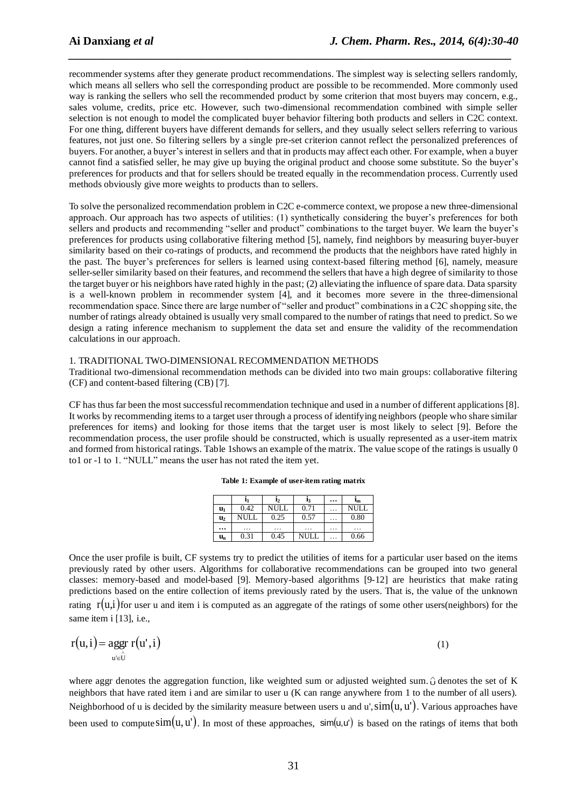recommender systems after they generate product recommendations. The simplest way is selecting sellers randomly, which means all sellers who sell the corresponding product are possible to be recommended. More commonly used way is ranking the sellers who sell the recommended product by some criterion that most buyers may concern, e.g., sales volume, credits, price etc. However, such two-dimensional recommendation combined with simple seller selection is not enough to model the complicated buyer behavior filtering both products and sellers in C2C context. For one thing, different buyers have different demands for sellers, and they usually select sellers referring to various features, not just one. So filtering sellers by a single pre-set criterion cannot reflect the personalized preferences of buyers. For another, a buyer's interest in sellers and that in products may affect each other. For example, when a buyer cannot find a satisfied seller, he may give up buying the original product and choose some substitute. So the buyer's preferences for products and that for sellers should be treated equally in the recommendation process. Currently used methods obviously give more weights to products than to sellers.

*\_\_\_\_\_\_\_\_\_\_\_\_\_\_\_\_\_\_\_\_\_\_\_\_\_\_\_\_\_\_\_\_\_\_\_\_\_\_\_\_\_\_\_\_\_\_\_\_\_\_\_\_\_\_\_\_\_\_\_\_\_\_\_\_\_\_\_\_\_\_\_\_\_\_\_\_\_*

To solve the personalized recommendation problem in C2C e-commerce context, we propose a new three-dimensional approach. Our approach has two aspects of utilities: (1) synthetically considering the buyer's preferences for both sellers and products and recommending "seller and product" combinations to the target buyer. We learn the buyer's preferences for products using collaborative filtering method [5], namely, find neighbors by measuring buyer-buyer similarity based on their co-ratings of products, and recommend the products that the neighbors have rated highly in the past. The buyer's preferences for sellers is learned using context-based filtering method [6], namely, measure seller-seller similarity based on their features, and recommend the sellers that have a high degree of similarity to those the target buyer or his neighbors have rated highly in the past; (2) alleviating the influence of spare data. Data sparsity is a well-known problem in recommender system [4], and it becomes more severe in the three-dimensional recommendation space. Since there are large number of "seller and product" combinations in a C2C shopping site, the number of ratings already obtained is usually very small compared to the number of ratings that need to predict. So we design a rating inference mechanism to supplement the data set and ensure the validity of the recommendation calculations in our approach.

## 1. TRADITIONAL TWO-DIMENSIONAL RECOMMENDATION METHODS

Traditional two-dimensional recommendation methods can be divided into two main groups: collaborative filtering (CF) and content-based filtering (CB) [7].

CF has thus far been the most successful recommendation technique and used in a number of different applications [8]. It works by recommending items to a target user through a process of identifying neighbors (people who share similar preferences for items) and looking for those items that the target user is most likely to select [9]. Before the recommendation process, the user profile should be constructed, which is usually represented as a user-item matrix and formed from historical ratings. Table 1shows an example of the matrix. The value scope of the ratings is usually 0 to1 or -1 to 1. "NULL" means the user has not rated the item yet.

|  |  |  | Table 1: Example of user-item rating matrix |
|--|--|--|---------------------------------------------|
|--|--|--|---------------------------------------------|

|                |      | l2   | l3                   | $\cdots$ | $I_{m}$     |
|----------------|------|------|----------------------|----------|-------------|
| u <sub>1</sub> | 0.42 | NULL | 0.71                 | .        | <b>NULL</b> |
| $\mathbf{u}_2$ | NULI | 0.25 | 0.57                 | .        | 0.80        |
|                | .    | .    | $\ddot{\phantom{0}}$ | .        | .           |
| $u_n$          | 0.31 | 0.45 | NULL                 | .        | 0.66        |

Once the user profile is built, CF systems try to predict the utilities of items for a particular user based on the items previously rated by other users. Algorithms for collaborative recommendations can be grouped into two general classes: memory-based and model-based [9]. Memory-based algorithms [9-12] are heuristics that make rating predictions based on the entire collection of items previously rated by the users. That is, the value of the unknown rating  $r(u,i)$  for user u and item i is computed as an aggregate of the ratings of some other users(neighbors) for the same item i [13], i.e.,

$$
r(u,i) = \underset{u' \in \hat{U}}{\text{ager}} \ r(u',i) \tag{1}
$$

where aggr denotes the aggregation function, like weighted sum or adjusted weighted sum.  $\hat{U}$  denotes the set of K neighbors that have rated item i and are similar to user u (K can range anywhere from 1 to the number of all users). Neighborhood of u is decided by the similarity measure between users u and u',  $\sin(u, u')$ . Various approaches have been used to compute  $sim(u, u')$ . In most of these approaches,  $sim(u, u')$  is based on the ratings of items that both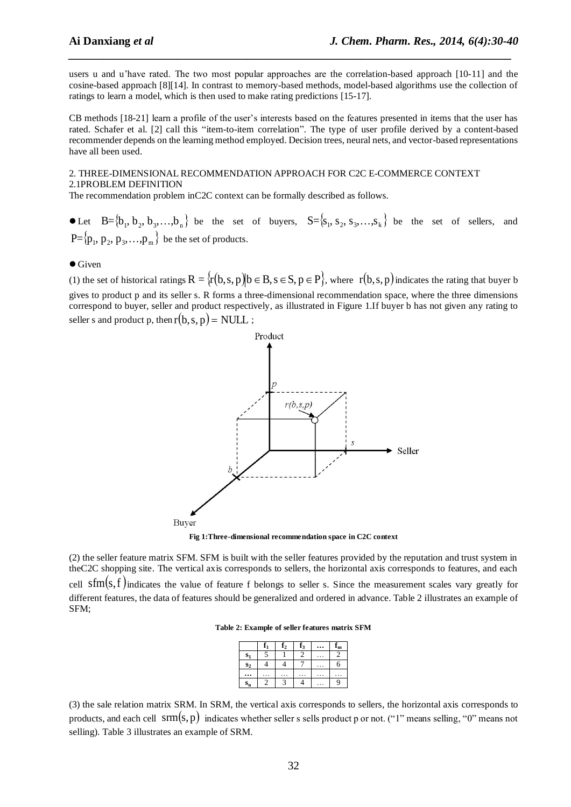users u and u'have rated. The two most popular approaches are the correlation-based approach [10-11] and the cosine-based approach [8][14]. In contrast to memory-based methods, model-based algorithms use the collection of ratings to learn a model, which is then used to make rating predictions [15-17].

*\_\_\_\_\_\_\_\_\_\_\_\_\_\_\_\_\_\_\_\_\_\_\_\_\_\_\_\_\_\_\_\_\_\_\_\_\_\_\_\_\_\_\_\_\_\_\_\_\_\_\_\_\_\_\_\_\_\_\_\_\_\_\_\_\_\_\_\_\_\_\_\_\_\_\_\_\_*

CB methods [18-21] learn a profile of the user's interests based on the features presented in items that the user has rated. Schafer et al. [2] call this "item-to-item correlation". The type of user profile derived by a content-based recommender depends on the learning method employed. Decision trees, neural nets, and vector-based representations have all been used.

#### 2. THREE-DIMENSIONAL RECOMMENDATION APPROACH FOR C2C E-COMMERCE CONTEXT 2.1PROBLEM DEFINITION

The recommendation problem inC2C context can be formally described as follows.

Let  $B = \{b_1, b_2, b_3, \ldots, b_n\}$  be the set of buyers,  $S = \{s_1, s_2, s_3, \ldots, s_k\}$  be the set of sellers, and  $\mathrm{P=}\{\mathrm{p}_1,\,\mathrm{p}_2,\,\mathrm{p}_3,\ldots,\mathrm{p}_\mathrm{m}\}$  be the set of products.

#### $\bullet$  Given

(1) the set of historical ratings  $R = \{r(b, s, p) | b \in B, s \in S, p \in P\}$ , where  $r(b, s, p)$  indicates the rating that buyer b gives to product p and its seller s. R forms a three-dimensional recommendation space, where the three dimensions correspond to buyer, seller and product respectively, as illustrated in Figure 1.If buyer b has not given any rating to seller s and product p, then  $r(b, s, p)$  = NULL;



**Fig 1:Three-dimensional recommendation space in C2C context**

(2) the seller feature matrix SFM. SFM is built with the seller features provided by the reputation and trust system in theC2C shopping site. The vertical axis corresponds to sellers, the horizontal axis corresponds to features, and each cell  $sfm(s,f)$  indicates the value of feature f belongs to seller s. Since the measurement scales vary greatly for different features, the data of features should be generalized and ordered in advance. Table 2 illustrates an example of SFM;

**Table 2: Example of seller features matrix SFM**

|                | ß | $\mathbf{f}_2$ | $f_3$ | ${\rm r_m}$ |
|----------------|---|----------------|-------|-------------|
| $s_{1}$        |   |                |       |             |
| S <sub>2</sub> |   |                |       | 6           |
|                |   |                |       |             |
| $S_{n}$        |   |                |       | c           |

(3) the sale relation matrix SRM. In SRM, the vertical axis corresponds to sellers, the horizontal axis corresponds to products, and each cell  $\, \text{arm}(s, p) \,$  indicates whether seller s sells product p or not. ("1" means selling, "0" means not selling). Table 3 illustrates an example of SRM.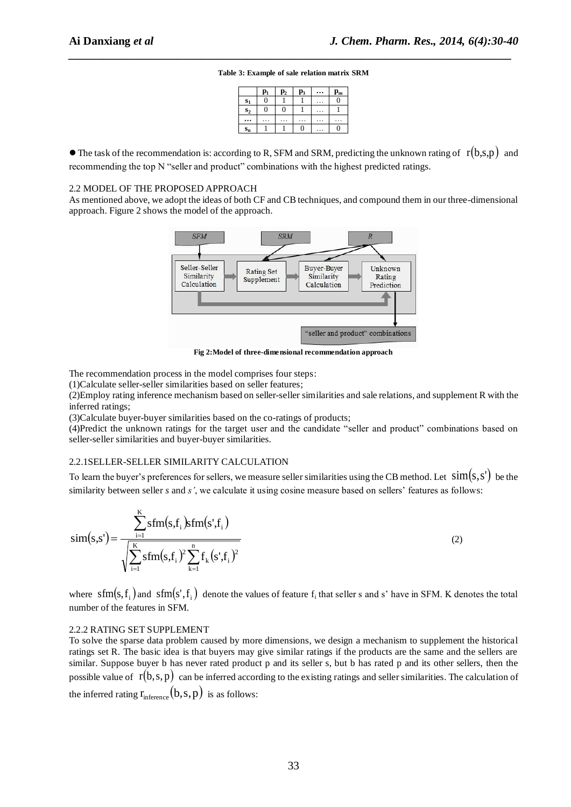# *\_\_\_\_\_\_\_\_\_\_\_\_\_\_\_\_\_\_\_\_\_\_\_\_\_\_\_\_\_\_\_\_\_\_\_\_\_\_\_\_\_\_\_\_\_\_\_\_\_\_\_\_\_\_\_\_\_\_\_\_\_\_\_\_\_\_\_\_\_\_\_\_\_\_\_\_\_* **Table 3: Example of sale relation matrix SRM**

|                | p,       | $\mathbf{p}_2$ | $\mathbf{p}_3$ | $\mathbf{p_m}$ |
|----------------|----------|----------------|----------------|----------------|
| $S_1$          | $\Omega$ |                |                | 0              |
| S <sub>2</sub> | 0        |                |                |                |
|                |          |                |                |                |
| $S_n$          |          |                |                |                |

 $\bullet$  The task of the recommendation is: according to R, SFM and SRM, predicting the unknown rating of  $r(b,s,p)$  and recommending the top N "seller and product" combinations with the highest predicted ratings.

#### 2.2 MODEL OF THE PROPOSED APPROACH

As mentioned above, we adopt the ideas of both CF and CB techniques, and compound them in our three-dimensional approach. Figure 2 shows the model of the approach.



**Fig 2:Model of three-dimensional recommendation approach**

The recommendation process in the model comprises four steps:

(1)Calculate seller-seller similarities based on seller features;

(2)Employ rating inference mechanism based on seller-seller similarities and sale relations, and supplement R with the inferred ratings;

(3)Calculate buyer-buyer similarities based on the co-ratings of products;

(4)Predict the unknown ratings for the target user and the candidate "seller and product" combinations based on seller-seller similarities and buyer-buyer similarities.

#### 2.2.1SELLER-SELLER SIMILARITY CALCULATION

To learn the buyer's preferences for sellers, we measure seller similarities using the CB method. Let  $\sin(s, s')$  be the similarity between seller *s* and *s'*, we calculate it using cosine measure based on sellers' features as follows:

$$
sim(s,s') = \frac{\sum_{i=1}^{K}sfm(s,f_i)sfm(s',f_i)}{\sqrt{\sum_{i=1}^{K}sfm(s,f_i)^2\sum_{k=1}^{n}f_k(s',f_i)^2}}
$$
(2)

where  $sfm(s, f_i)$  and  $sfm(s', f_i)$  denote the values of feature  $f_i$  that seller s and s' have in SFM. K denotes the total number of the features in SFM.

#### 2.2.2 RATING SET SUPPLEMENT

To solve the sparse data problem caused by more dimensions, we design a mechanism to supplement the historical ratings set R. The basic idea is that buyers may give similar ratings if the products are the same and the sellers are similar. Suppose buyer b has never rated product p and its seller s, but b has rated p and its other sellers, then the possible value of  $r(b,s,p)$  can be inferred according to the existing ratings and seller similarities. The calculation of the inferred rating  $r_{inference}(b, s, p)$  is as follows: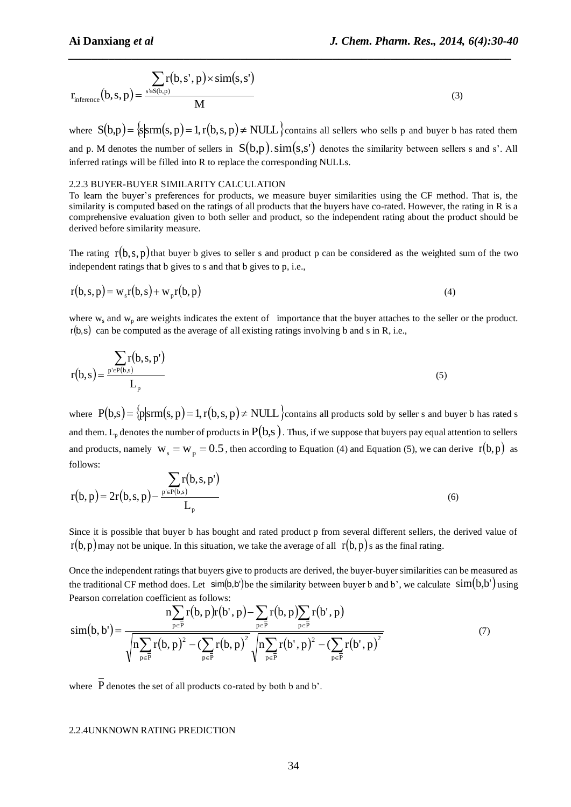$$
r_{inference}(b, s, p) = \frac{\sum_{s \in S(b, p)} r(b, s', p) \times sim(s, s')}{M}
$$
\n(3)

where  $S(b,p) = \frac{\text{s}}{\text{s}} \text{srm}(s,p) = 1, r(b,s,p) \neq \text{NULL}$  contains all sellers who sells p and buyer b has rated them and p. M denotes the number of sellers in  $S(b,p)$ .  $\text{sim}(s,s')$  denotes the similarity between sellers s and s'. All inferred ratings will be filled into R to replace the corresponding NULLs.

*\_\_\_\_\_\_\_\_\_\_\_\_\_\_\_\_\_\_\_\_\_\_\_\_\_\_\_\_\_\_\_\_\_\_\_\_\_\_\_\_\_\_\_\_\_\_\_\_\_\_\_\_\_\_\_\_\_\_\_\_\_\_\_\_\_\_\_\_\_\_\_\_\_\_\_\_\_*

# 2.2.3 BUYER-BUYER SIMILARITY CALCULATION

To learn the buyer's preferences for products, we measure buyer similarities using the CF method. That is, the similarity is computed based on the ratings of all products that the buyers have co-rated. However, the rating in R is a comprehensive evaluation given to both seller and product, so the independent rating about the product should be derived before similarity measure.

The rating  $r(b,s,p)$  that buyer b gives to seller s and product p can be considered as the weighted sum of the two independent ratings that b gives to s and that b gives to p, i.e.,

$$
r(b,s,p) = w_s r(b,s) + w_p r(b,p)
$$
\n<sup>(4)</sup>

where  $w_s$  and  $w_p$  are weights indicates the extent of importance that the buyer attaches to the seller or the product.  $r(b,s)$  can be computed as the average of all existing ratings involving b and s in R, i.e.,

$$
r(b,s) = \frac{\sum_{p' \in P(b,s)} r(b,s,p')}{L_p}
$$
\n
$$
(5)
$$

where  $P(b,s) = \{p | srm(s, p) = 1, r(b, s, p) \neq NULL \}$ contains all products sold by seller s and buyer b has rated s and them. L<sub>p</sub> denotes the number of products in  $P(b,s)$ . Thus, if we suppose that buyers pay equal attention to sellers and products, namely  $w_s = w_p = 0.5$ , then according to Equation (4) and Equation (5), we can derive  $r(b, p)$  as follows:

$$
r(b, p) = 2r(b, s, p) - \frac{\sum_{p' \in P(b, s)} r(b, s, p')}{L_p}
$$
 (6)

Since it is possible that buyer b has bought and rated product p from several different sellers, the derived value of  $r(b, p)$  may not be unique. In this situation, we take the average of all  $r(b, p)$ s as the final rating.

Once the independent ratings that buyers give to products are derived, the buyer-buyer similarities can be measured as the traditional CF method does. Let  $\sin(b, b')$  be the similarity between buyer b and b', we calculate  $\sin(b, b')$  using Pearson correlation coefficient as follows:

$$
\operatorname{sim}(b, b') = \frac{n \sum_{p \in \overline{P}} r(b, p)r(b', p) - \sum_{p \in \overline{P}} r(b, p) \sum_{p \in \overline{P}} r(b', p)}{\sqrt{n \sum_{p \in \overline{P}} r(b, p)^2 - (\sum_{p \in \overline{P}} r(b, p)^2)} \sqrt{n \sum_{p \in \overline{P}} r(b', p)^2 - (\sum_{p \in \overline{P}} r(b', p)^2}}
$$
(7)

where P denotes the set of all products co-rated by both b and b'.

#### 2.2.4UNKNOWN RATING PREDICTION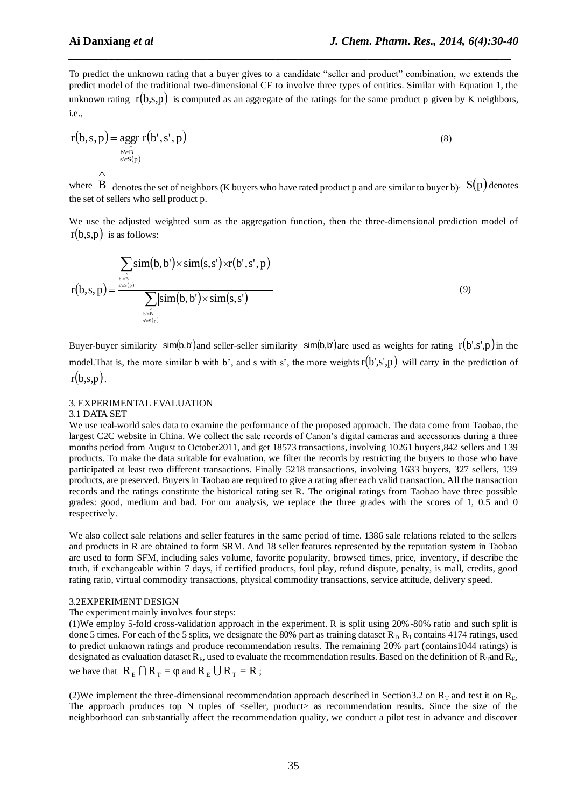(8)

To predict the unknown rating that a buyer gives to a candidate "seller and product" combination, we extends the predict model of the traditional two-dimensional CF to involve three types of entities. Similar with Equation 1, the unknown rating  $r(b,s,p)$  is computed as an aggregate of the ratings for the same product p given by K neighbors, i.e.,

*\_\_\_\_\_\_\_\_\_\_\_\_\_\_\_\_\_\_\_\_\_\_\_\_\_\_\_\_\_\_\_\_\_\_\_\_\_\_\_\_\_\_\_\_\_\_\_\_\_\_\_\_\_\_\_\_\_\_\_\_\_\_\_\_\_\_\_\_\_\_\_\_\_\_\_\_\_*

$$
r(b, s, p) = \underset{s \in \hat{B}}{\operatorname{ager}} r(b', s', p)
$$
\n
$$
\wedge
$$

where B denotes the set of neighbors (K buyers who have rated product p and are similar to buyer b).  $S(p)$  denotes the set of sellers who sell product p.

We use the adjusted weighted sum as the aggregation function, then the three-dimensional prediction model of  $r(b,s,p)$  is as follows:

$$
r(b,s,p) = \frac{\sum_{b \in \hat{B} \atop b \in \hat{B}} \text{sim}(b,b') \times \text{sim}(s,s') \times r(b',s',p)}{\sum_{b \in \hat{B} \atop s \in S(p)} |\text{sim}(b,b') \times \text{sim}(s,s')|}
$$
(9)

Buyer-buyer similarity sim(b,b') and seller-seller similarity sim(b,b') are used as weights for rating  $r(b', s', p)$  in the model. That is, the more similar b with b', and s with s', the more weights  $r(b', s', p)$  will carry in the prediction of  $r(b,s,p)$ .

## 3. EXPERIMENTAL EVALUATION

#### 3.1 DATA SET

We use real-world sales data to examine the performance of the proposed approach. The data come from Taobao, the largest C2C website in China. We collect the sale records of Canon's digital cameras and accessories during a three months period from August to October2011, and get 18573 transactions, involving 10261 buyers,842 sellers and 139 products. To make the data suitable for evaluation, we filter the records by restricting the buyers to those who have participated at least two different transactions. Finally 5218 transactions, involving 1633 buyers, 327 sellers, 139 products, are preserved. Buyers in Taobao are required to give a rating after each valid transaction. All the transaction records and the ratings constitute the historical rating set R. The original ratings from Taobao have three possible grades: good, medium and bad. For our analysis, we replace the three grades with the scores of 1, 0.5 and 0 respectively.

We also collect sale relations and seller features in the same period of time. 1386 sale relations related to the sellers and products in R are obtained to form SRM. And 18 seller features represented by the reputation system in Taobao are used to form SFM, including sales volume, favorite popularity, browsed times, price, inventory, if describe the truth, if exchangeable within 7 days, if certified products, foul play, refund dispute, penalty, is mall, credits, good rating ratio, virtual commodity transactions, physical commodity transactions, service attitude, delivery speed.

#### 3.2EXPERIMENT DESIGN

The experiment mainly involves four steps:

(1)We employ 5-fold cross-validation approach in the experiment. R is split using 20%-80% ratio and such split is done 5 times. For each of the 5 splits, we designate the 80% part as training dataset  $R_T$ ,  $R_T$  contains 4174 ratings, used to predict unknown ratings and produce recommendation results. The remaining 20% part (contains1044 ratings) is designated as evaluation dataset  $R_E$ , used to evaluate the recommendation results. Based on the definition of  $R_T$ and  $R_E$ , we have that  $R_E \cap R_T = \varphi$  and  $R_E \cup R_T = R$ ;

(2)We implement the three-dimensional recommendation approach described in Section3.2 on  $R<sub>T</sub>$  and test it on  $R<sub>F</sub>$ . The approach produces top N tuples of <seller, product> as recommendation results. Since the size of the neighborhood can substantially affect the recommendation quality, we conduct a pilot test in advance and discover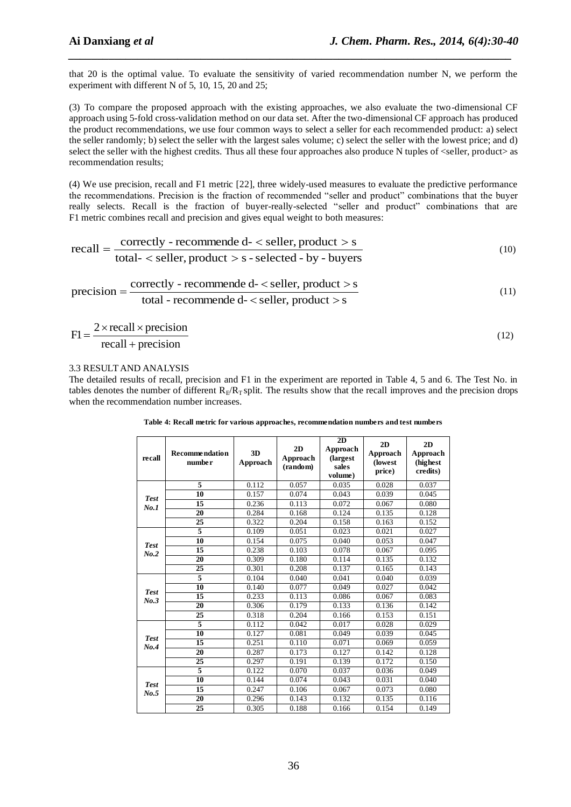that 20 is the optimal value. To evaluate the sensitivity of varied recommendation number N, we perform the experiment with different N of 5, 10, 15, 20 and 25;

*\_\_\_\_\_\_\_\_\_\_\_\_\_\_\_\_\_\_\_\_\_\_\_\_\_\_\_\_\_\_\_\_\_\_\_\_\_\_\_\_\_\_\_\_\_\_\_\_\_\_\_\_\_\_\_\_\_\_\_\_\_\_\_\_\_\_\_\_\_\_\_\_\_\_\_\_\_*

(3) To compare the proposed approach with the existing approaches, we also evaluate the two-dimensional CF approach using 5-fold cross-validation method on our data set. After the two-dimensional CF approach has produced the product recommendations, we use four common ways to select a seller for each recommended product: a) select the seller randomly; b) select the seller with the largest sales volume; c) select the seller with the lowest price; and d) select the seller with the highest credits. Thus all these four approaches also produce N tuples of <seller, product> as recommendation results;

(4) We use precision, recall and F1 metric [22], three widely-used measures to evaluate the predictive performance the recommendations. Precision is the fraction of recommended "seller and product" combinations that the buyer really selects. Recall is the fraction of buyer-really-selected "seller and product" combinations that are F1 metric combines recall and precision and gives equal weight to both measures:

$$
recall = \frac{correctly - recommended - < seller, product > s}{total - < seller, product > s - selected - by - buyers}
$$
\n(10)

$$
precision = \frac{correctly - recommended - < seller, product > s}{total - recommended - < seller, product > s}
$$
\n(11)

$$
F1 = \frac{2 \times \text{recall} \times \text{precision}}{\text{recall} + \text{precision}}
$$
 (12)

## 3.3 RESULT AND ANALYSIS

The detailed results of recall, precision and F1 in the experiment are reported in Table 4, 5 and 6. The Test No. in tables denotes the number of different  $R_F/R_T$  split. The results show that the recall improves and the precision drops when the recommendation number increases.

**Table 4: Recall metric for various approaches, recommendation numbers and test numbers**

| recall      | <b>Recommendation</b><br>number | 3D<br>Approach | 2D<br>Approach<br>(random) | 2D<br>Approach<br>(largest<br>sales<br>volume) | 2D<br>Approach<br>(lowest)<br>price) | 2D<br>Approach<br>(highest)<br>credits) |
|-------------|---------------------------------|----------------|----------------------------|------------------------------------------------|--------------------------------------|-----------------------------------------|
|             | 5                               | 0.112          | 0.057                      | 0.035                                          | 0.028                                | 0.037                                   |
| <b>Test</b> | 10                              | 0.157          | 0.074                      | 0.043                                          | 0.039                                | 0.045                                   |
| No.1        | 15                              | 0.236          | 0.113                      | 0.072                                          | 0.067                                | 0.080                                   |
|             | 20                              | 0.284          | 0.168                      | 0.124                                          | 0.135                                | 0.128                                   |
|             | 25                              | 0.322          | 0.204                      | 0.158                                          | 0.163                                | 0.152                                   |
|             | $\overline{5}$                  | 0.109          | 0.051                      | 0.023                                          | 0.021                                | 0.027                                   |
| <b>Test</b> | 10                              | 0.154          | 0.075                      | 0.040                                          | 0.053                                | 0.047                                   |
| No.2        | 15                              | 0.238          | 0.103                      | 0.078                                          | 0.067                                | 0.095                                   |
|             | 20                              | 0.309          | 0.180                      | 0.114                                          | 0.135                                | 0.132                                   |
|             | 25                              | 0.301          | 0.208                      | 0.137                                          | 0.165                                | 0.143                                   |
|             | 5                               | 0.104          | 0.040                      | 0.041                                          | 0.040                                | 0.039                                   |
| <b>Test</b> | 10                              | 0.140          | 0.077                      | 0.049                                          | 0.027                                | 0.042                                   |
| No.3        | 15                              | 0.233          | 0.113                      | 0.086                                          | 0.067                                | 0.083                                   |
|             | 20                              | 0.306          | 0.179                      | 0.133                                          | 0.136                                | 0.142                                   |
|             | 25                              | 0.318          | 0.204                      | 0.166                                          | 0.153                                | 0.151                                   |
|             | 5                               | 0.112          | 0.042                      | 0.017                                          | 0.028                                | 0.029                                   |
| <b>Test</b> | 10                              | 0.127          | 0.081                      | 0.049                                          | 0.039                                | 0.045                                   |
| No.4        | 15                              | 0.251          | 0.110                      | 0.071                                          | 0.069                                | 0.059                                   |
|             | 20                              | 0.287          | 0.173                      | 0.127                                          | 0.142                                | 0.128                                   |
|             | 25                              | 0.297          | 0.191                      | 0.139                                          | 0.172                                | 0.150                                   |
|             | 5                               | 0.122          | 0.070                      | 0.037                                          | 0.036                                | 0.049                                   |
| <b>Test</b> | 10                              | 0.144          | 0.074                      | 0.043                                          | 0.031                                | 0.040                                   |
| No.5        | 15                              | 0.247          | 0.106                      | 0.067                                          | 0.073                                | 0.080                                   |
|             | 20                              | 0.296          | 0.143                      | 0.132                                          | 0.135                                | 0.116                                   |
|             | $\overline{25}$                 | 0.305          | 0.188                      | 0.166                                          | 0.154                                | 0.149                                   |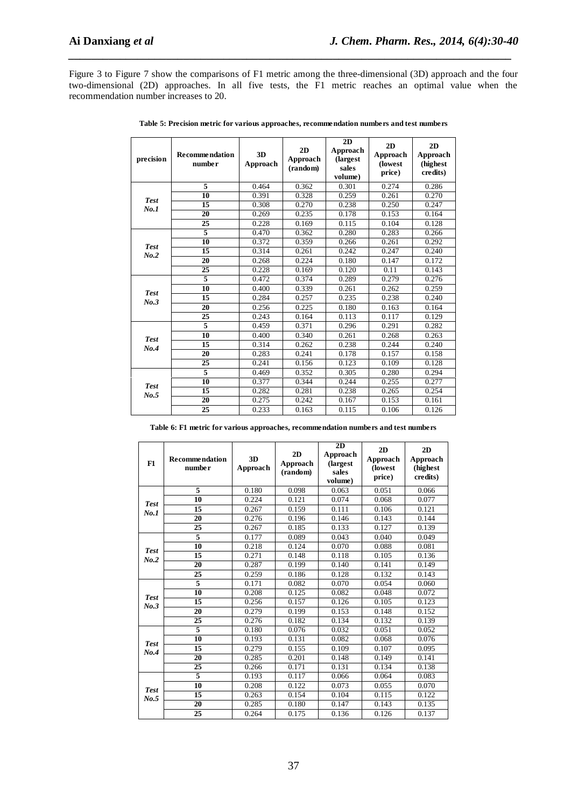Figure 3 to Figure 7 show the comparisons of F1 metric among the three-dimensional (3D) approach and the four two-dimensional (2D) approaches. In all five tests, the F1 metric reaches an optimal value when the recommendation number increases to 20.

*\_\_\_\_\_\_\_\_\_\_\_\_\_\_\_\_\_\_\_\_\_\_\_\_\_\_\_\_\_\_\_\_\_\_\_\_\_\_\_\_\_\_\_\_\_\_\_\_\_\_\_\_\_\_\_\_\_\_\_\_\_\_\_\_\_\_\_\_\_\_\_\_\_\_\_\_\_*

| precision   | <b>Recommendation</b><br>number | 3D<br>Approach | 2D<br>Approach<br>(random) | $\overline{2D}$<br>Approach<br>(largest)<br>sales<br>volume) | 2D<br>Approach<br>(lowest<br>price) | 2D<br>Approach<br>(highest<br>credits) |
|-------------|---------------------------------|----------------|----------------------------|--------------------------------------------------------------|-------------------------------------|----------------------------------------|
|             | 5                               | 0.464          | 0.362                      | 0.301                                                        | 0.274                               | 0.286                                  |
| <b>Test</b> | 10                              | 0.391          | 0.328                      | 0.259                                                        | 0.261                               | 0.270                                  |
| No.1        | 15                              | 0.308          | 0.270                      | 0.238                                                        | 0.250                               | 0.247                                  |
|             | 20                              | 0.269          | 0.235                      | 0.178                                                        | 0.153                               | 0.164                                  |
|             | 25                              | 0.228          | 0.169                      | 0.115                                                        | 0.104                               | 0.128                                  |
|             | 5                               | 0.470          | 0.362                      | 0.280                                                        | 0.283                               | 0.266                                  |
| <b>Test</b> | 10                              | 0.372          | 0.359                      | 0.266                                                        | 0.261                               | 0.292                                  |
| No.2        | 15                              | 0.314          | 0.261                      | 0.242                                                        | 0.247                               | 0.240                                  |
|             | 20                              | 0.268          | 0.224                      | 0.180                                                        | 0.147                               | 0.172                                  |
|             | $\overline{25}$                 | 0.228          | 0.169                      | 0.120                                                        | 0.11                                | 0.143                                  |
|             | $\overline{5}$                  | 0.472          | 0.374                      | 0.289                                                        | 0.279                               | 0.276                                  |
| <b>Test</b> | 10                              | 0.400          | 0.339                      | 0.261                                                        | 0.262                               | 0.259                                  |
| No.3        | 15                              | 0.284          | 0.257                      | 0.235                                                        | 0.238                               | 0.240                                  |
|             | 20                              | 0.256          | 0.225                      | 0.180                                                        | 0.163                               | 0.164                                  |
|             | $\overline{25}$                 | 0.243          | 0.164                      | 0.113                                                        | 0.117                               | 0.129                                  |
|             | $\overline{5}$                  | 0.459          | 0.371                      | 0.296                                                        | 0.291                               | 0.282                                  |
| <b>Test</b> | 10                              | 0.400          | 0.340                      | 0.261                                                        | 0.268                               | 0.263                                  |
| No.4        | 15                              | 0.314          | 0.262                      | 0.238                                                        | 0.244                               | 0.240                                  |
|             | 20                              | 0.283          | 0.241                      | 0.178                                                        | 0.157                               | 0.158                                  |
|             | $\overline{25}$                 | 0.241          | 0.156                      | 0.123                                                        | 0.109                               | 0.128                                  |
|             | 5                               | 0.469          | 0.352                      | 0.305                                                        | 0.280                               | 0.294                                  |
| <b>Test</b> | 10                              | 0.377          | 0.344                      | 0.244                                                        | 0.255                               | 0.277                                  |
| No.5        | 15                              | 0.282          | 0.281                      | 0.238                                                        | 0.265                               | 0.254                                  |
|             | 20                              | 0.275          | 0.242                      | 0.167                                                        | 0.153                               | 0.161                                  |
|             | 25                              | 0.233          | 0.163                      | 0.115                                                        | 0.106                               | 0.126                                  |

**Table 6: F1 metric for various approaches, recommendation numbers and test numbers**

| F1          | <b>Recommendation</b><br>number | 3D<br>Approach | 2D<br>Approach<br>(random) | 2D<br>Approach<br>(largest)<br>sales<br>volume) | 2D<br>Approach<br>(lowest<br>price) | 2D<br>Approach<br>(highest)<br>credits) |
|-------------|---------------------------------|----------------|----------------------------|-------------------------------------------------|-------------------------------------|-----------------------------------------|
|             | 5                               | 0.180          | 0.098                      | 0.063                                           | 0.051                               | 0.066                                   |
| <b>Test</b> | 10                              | 0.224          | 0.121                      | 0.074                                           | 0.068                               | 0.077                                   |
| No.1        | 15                              | 0.267          | 0.159                      | 0.111                                           | 0.106                               | 0.121                                   |
|             | 20                              | 0.276          | 0.196                      | 0.146                                           | 0.143                               | 0.144                                   |
|             | 25                              | 0.267          | 0.185                      | 0.133                                           | 0.127                               | 0.139                                   |
|             | 5                               | 0.177          | 0.089                      | 0.043                                           | 0.040                               | 0.049                                   |
| <b>Test</b> | 10                              | 0.218          | 0.124                      | 0.070                                           | 0.088                               | 0.081                                   |
| No.2        | 15                              | 0.271          | 0.148                      | 0.118                                           | 0.105                               | 0.136                                   |
|             | 20                              | 0.287          | 0.199                      | 0.140                                           | 0.141                               | 0.149                                   |
|             | 25                              | 0.259          | 0.186                      | 0.128                                           | 0.132                               | 0.143                                   |
|             | $\overline{5}$                  | 0.171          | 0.082                      | 0.070                                           | 0.054                               | 0.060                                   |
| <b>Test</b> | 10                              | 0.208          | 0.125                      | 0.082                                           | 0.048                               | 0.072                                   |
| No.3        | 15                              | 0.256          | 0.157                      | 0.126                                           | 0.105                               | 0.123                                   |
|             | 20                              | 0.279          | 0.199                      | 0.153                                           | 0.148                               | 0.152                                   |
|             | 25                              | 0.276          | 0.182                      | 0.134                                           | 0.132                               | 0.139                                   |
|             | 5                               | 0.180          | 0.076                      | 0.032                                           | 0.051                               | 0.052                                   |
| <b>Test</b> | 10                              | 0.193          | 0.131                      | 0.082                                           | 0.068                               | 0.076                                   |
| No.4        | 15                              | 0.279          | 0.155                      | 0.109                                           | 0.107                               | 0.095                                   |
|             | 20                              | 0.285          | 0.201                      | 0.148                                           | 0.149                               | 0.141                                   |
|             | 25                              | 0.266          | 0.171                      | 0.131                                           | 0.134                               | 0.138                                   |
|             | $\overline{5}$                  | 0.193          | 0.117                      | 0.066                                           | 0.064                               | 0.083                                   |
| <b>Test</b> | 10                              | 0.208          | 0.122                      | 0.073                                           | 0.055                               | 0.070                                   |
| No.5        | 15                              | 0.263          | 0.154                      | 0.104                                           | 0.115                               | 0.122                                   |
|             | 20                              | 0.285          | 0.180                      | 0.147                                           | 0.143                               | 0.135                                   |
|             | 25                              | 0.264          | 0.175                      | 0.136                                           | 0.126                               | 0.137                                   |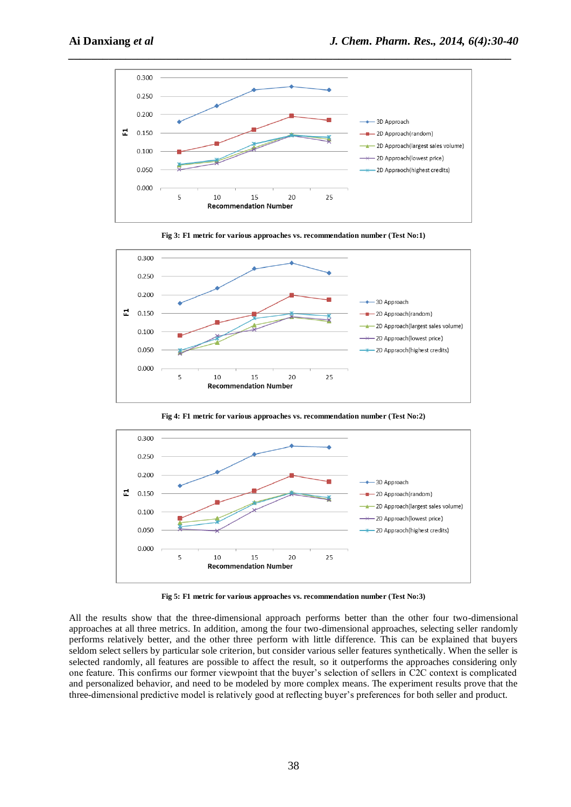





**Fig 4: F1 metric for various approaches vs. recommendation number (Test No:2)**



**Fig 5: F1 metric for various approaches vs. recommendation number (Test No:3)**

All the results show that the three-dimensional approach performs better than the other four two-dimensional approaches at all three metrics. In addition, among the four two-dimensional approaches, selecting seller randomly performs relatively better, and the other three perform with little difference. This can be explained that buyers seldom select sellers by particular sole criterion, but consider various seller features synthetically. When the seller is selected randomly, all features are possible to affect the result, so it outperforms the approaches considering only one feature. This confirms our former viewpoint that the buyer's selection of sellers in C2C context is complicated and personalized behavior, and need to be modeled by more complex means. The experiment results prove that the three-dimensional predictive model is relatively good at reflecting buyer's preferences for both seller and product.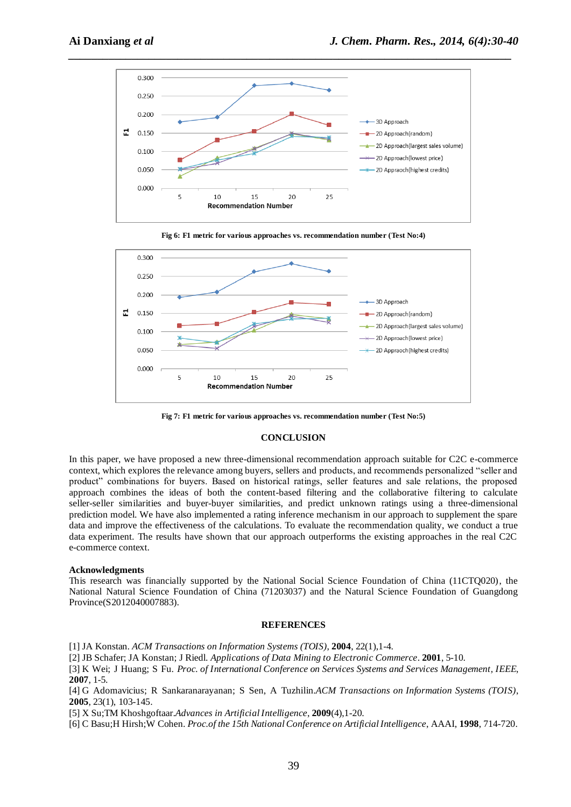





**Fig 7: F1 metric for various approaches vs. recommendation number (Test No:5)**

#### **CONCLUSION**

In this paper, we have proposed a new three-dimensional recommendation approach suitable for C2C e-commerce context, which explores the relevance among buyers, sellers and products, and recommends personalized "seller and product" combinations for buyers. Based on historical ratings, seller features and sale relations, the proposed approach combines the ideas of both the content-based filtering and the collaborative filtering to calculate seller-seller similarities and buyer-buyer similarities, and predict unknown ratings using a three-dimensional prediction model. We have also implemented a rating inference mechanism in our approach to supplement the spare data and improve the effectiveness of the calculations. To evaluate the recommendation quality, we conduct a true data experiment. The results have shown that our approach outperforms the existing approaches in the real C2C e-commerce context.

#### **Acknowledgments**

This research was financially supported by the National Social Science Foundation of China (11CTQ020), the National Natural Science Foundation of China (71203037) and the Natural Science Foundation of Guangdong Province(S2012040007883).

#### **REFERENCES**

[1] JA Konstan. *ACM Transactions on Information Systems (TOIS)*, **2004**, 22(1),1-4.

[2] JB Schafer; JA Konstan; J Riedl. *Applications of Data Mining to Electronic Commerce*. **2001**, 5-10.

[3] K Wei; J Huang; S Fu. *Proc. of International Conference on Services Systems and Services Management, IEEE*, **2007**, 1-5.

[4] G Adomavicius; R Sankaranarayanan; S Sen, A Tuzhilin.*ACM Transactions on Information Systems (TOIS)*, **2005**, 23(1), 103-145.

[5] X Su;TM Khoshgoftaar.*Advances in Artificial Intelligence*, **2009**(4),1-20.

[6] C Basu;H Hirsh;W Cohen. *Proc.of the 15th National Conference on Artificial Intelligence*, AAAI, **1998**, 714-720.